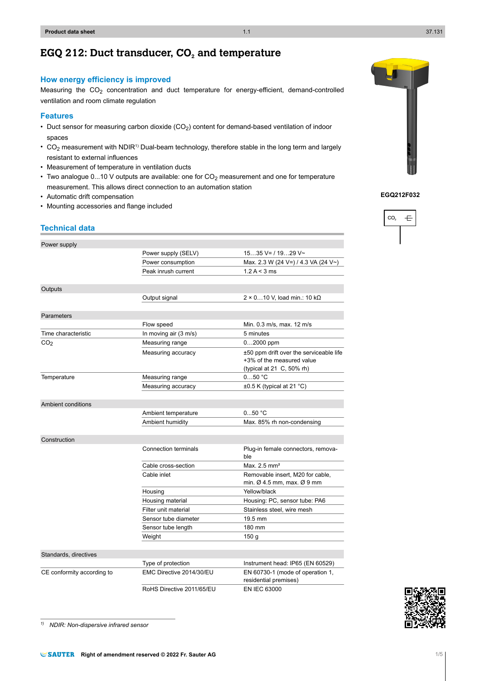*1) NDIR: Non-dispersive infrared sensor*

## **EGQ 212: Duct transducer, CO<sup>2</sup> and temperature**

## **How energy efficiency is improved**

Measuring the CO2 concentration and duct temperature for energy-efficient, demand-controlled ventilation and room climate regulation

#### **Features**

- Duct sensor for measuring carbon dioxide ( $CO<sub>2</sub>$ ) content for demand-based ventilation of indoor spaces
- $CO<sub>2</sub>$  measurement with NDIR<sup>1)</sup> Dual-beam technology, therefore stable in the long term and largely resistant to external influences
- Measurement of temperature in ventilation ducts
- Two analogue 0...10 V outputs are available: one for  $CO<sub>2</sub>$  measurement and one for temperature measurement. This allows direct connection to an automation station
- Automatic drift compensation
- Mounting accessories and flange included

## **Technical data**

| Power supply               |                             |                                                                                        |
|----------------------------|-----------------------------|----------------------------------------------------------------------------------------|
|                            | Power supply (SELV)         | $1535$ V= / 1929 V~                                                                    |
|                            | Power consumption           | Max. 2.3 W (24 V=) / 4.3 VA (24 V~)                                                    |
|                            | Peak inrush current         | 1.2 A < 3 ms                                                                           |
|                            |                             |                                                                                        |
| Outputs                    |                             |                                                                                        |
|                            | Output signal               | $2 \times 0$ 10 V, load min.: 10 k $\Omega$                                            |
|                            |                             |                                                                                        |
| Parameters                 |                             |                                                                                        |
|                            | Flow speed                  | Min. 0.3 m/s, max. 12 m/s                                                              |
| Time characteristic        | In moving air (3 m/s)       | 5 minutes                                                                              |
| CO <sub>2</sub>            | Measuring range             | $02000$ ppm                                                                            |
|                            | Measuring accuracy          | ±50 ppm drift over the serviceable life                                                |
|                            |                             | +3% of the measured value                                                              |
|                            |                             | (typical at 21 C, 50% rh)                                                              |
| Temperature                | Measuring range             | 050 °C                                                                                 |
|                            | Measuring accuracy          | $\pm 0.5$ K (typical at 21 °C)                                                         |
|                            |                             |                                                                                        |
| Ambient conditions         |                             |                                                                                        |
|                            | Ambient temperature         | 050 °C                                                                                 |
|                            | Ambient humidity            | Max. 85% rh non-condensing                                                             |
|                            |                             |                                                                                        |
| Construction               |                             |                                                                                        |
|                            | <b>Connection terminals</b> | Plug-in female connectors, remova-<br>ble                                              |
|                            | Cable cross-section         | Max. 2.5 mm <sup>2</sup>                                                               |
|                            | Cable inlet                 | Removable insert, M20 for cable,<br>min. $\varnothing$ 4.5 mm, max. $\varnothing$ 9 mm |
|                            | Housing                     | Yellow/black                                                                           |
|                            | Housing material            | Housing: PC, sensor tube: PA6                                                          |
|                            | Filter unit material        | Stainless steel, wire mesh                                                             |
|                            | Sensor tube diameter        | $19.5 \text{ mm}$                                                                      |
|                            | Sensor tube length          | 180 mm                                                                                 |
|                            | Weight                      | 150 <sub>g</sub>                                                                       |
|                            |                             |                                                                                        |
| Standards, directives      |                             |                                                                                        |
|                            | Type of protection          | Instrument head: IP65 (EN 60529)                                                       |
| CE conformity according to | EMC Directive 2014/30/EU    | EN 60730-1 (mode of operation 1,<br>residential premises)                              |
|                            | RoHS Directive 2011/65/EU   | EN IEC 63000                                                                           |





# $CO<sub>2</sub>$  $\pm$

**EGQ212F032**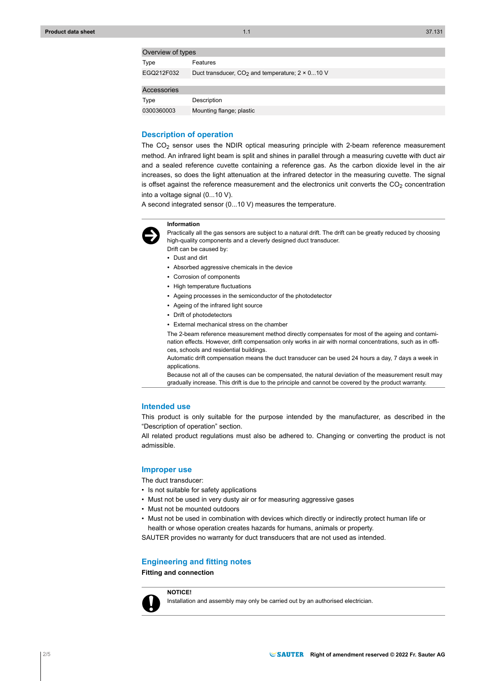## $O<sub>2</sub>$  or  $\frac{1}{2}$  over  $\frac{1}{2}$  for  $\frac{1}{2}$

| OVEIVIEW UI LYDES |                                                          |
|-------------------|----------------------------------------------------------|
| Type              | Features                                                 |
| EGQ212F032        | Duct transducer, $CO2$ and temperature; $2 \times 010$ V |
|                   |                                                          |
| Accessories       |                                                          |
| Type              | Description                                              |
| 0300360003        | Mounting flange; plastic                                 |

#### **Description of operation**

The  $CO<sub>2</sub>$  sensor uses the NDIR optical measuring principle with 2-beam reference measurement method. An infrared light beam is split and shines in parallel through a measuring cuvette with duct air and a sealed reference cuvette containing a reference gas. As the carbon dioxide level in the air increases, so does the light attenuation at the infrared detector in the measuring cuvette. The signal is offset against the reference measurement and the electronics unit converts the  $CO<sub>2</sub>$  concentration into a voltage signal (0...10 V).

A second integrated sensor (0...10 V) measures the temperature.



Practically all the gas sensors are subject to a natural drift. The drift can be greatly reduced by choosing high-quality components and a cleverly designed duct transducer.

Drift can be caused by: • Dust and dirt

**Information**

- Absorbed aggressive chemicals in the device
- Corrosion of components
- High temperature fluctuations
- Ageing processes in the semiconductor of the photodetector
- Ageing of the infrared light source
- Drift of photodetectors
- External mechanical stress on the chamber

The 2-beam reference measurement method directly compensates for most of the ageing and contamination effects. However, drift compensation only works in air with normal concentrations, such as in offices, schools and residential buildings.

Automatic drift compensation means the duct transducer can be used 24 hours a day, 7 days a week in applications.

Because not all of the causes can be compensated, the natural deviation of the measurement result may gradually increase. This drift is due to the principle and cannot be covered by the product warranty.

#### **Intended use**

This product is only suitable for the purpose intended by the manufacturer, as described in the "Description of operation" section.

All related product regulations must also be adhered to. Changing or converting the product is not admissible.

#### **Improper use**

The duct transducer:

- Is not suitable for safety applications
- Must not be used in very dusty air or for measuring aggressive gases
- Must not be mounted outdoors
- Must not be used in combination with devices which directly or indirectly protect human life or health or whose operation creates hazards for humans, animals or property.

SAUTER provides no warranty for duct transducers that are not used as intended.

#### **Engineering and fitting notes**

**Fitting and connection**

**NOTICE!**



Installation and assembly may only be carried out by an authorised electrician.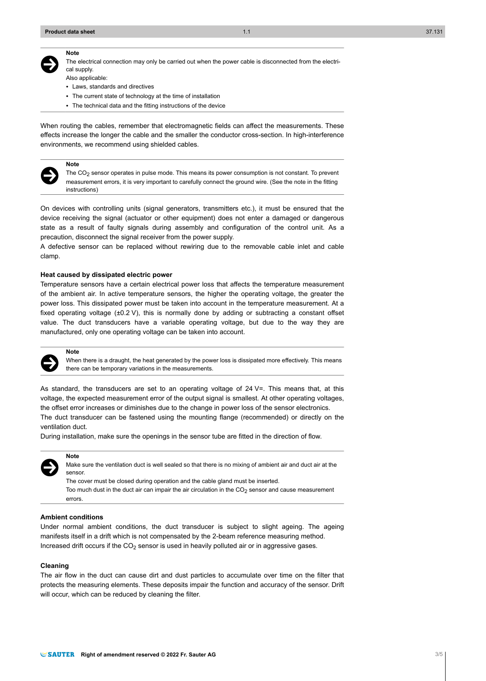#### **Note**

 $\ddot{\bm{\Theta}}$ 

The electrical connection may only be carried out when the power cable is disconnected from the electrical supply.

- Also applicable:
- Laws, standards and directives
- The current state of technology at the time of installation
- The technical data and the fitting instructions of the device

When routing the cables, remember that electromagnetic fields can affect the measurements. These effects increase the longer the cable and the smaller the conductor cross-section. In high-interference environments, we recommend using shielded cables.



**Note**

The CO<sub>2</sub> sensor operates in pulse mode. This means its power consumption is not constant. To prevent measurement errors, it is very important to carefully connect the ground wire. (See the note in the fitting instructions)

On devices with controlling units (signal generators, transmitters etc.), it must be ensured that the device receiving the signal (actuator or other equipment) does not enter a damaged or dangerous state as a result of faulty signals during assembly and configuration of the control unit. As a precaution, disconnect the signal receiver from the power supply.

A defective sensor can be replaced without rewiring due to the removable cable inlet and cable clamp.

#### **Heat caused by dissipated electric power**

Temperature sensors have a certain electrical power loss that affects the temperature measurement of the ambient air. In active temperature sensors, the higher the operating voltage, the greater the power loss. This dissipated power must be taken into account in the temperature measurement. At a fixed operating voltage (±0.2 V), this is normally done by adding or subtracting a constant offset value. The duct transducers have a variable operating voltage, but due to the way they are manufactured, only one operating voltage can be taken into account.



**Note**

When there is a draught, the heat generated by the power loss is dissipated more effectively. This means there can be temporary variations in the measurements.

As standard, the transducers are set to an operating voltage of 24 V=. This means that, at this voltage, the expected measurement error of the output signal is smallest. At other operating voltages, the offset error increases or diminishes due to the change in power loss of the sensor electronics. The duct transducer can be fastened using the mounting flange (recommended) or directly on the ventilation duct.

During installation, make sure the openings in the sensor tube are fitted in the direction of flow.



## **Note**

Make sure the ventilation duct is well sealed so that there is no mixing of ambient air and duct air at the sensor.

The cover must be closed during operation and the cable gland must be inserted.

Too much dust in the duct air can impair the air circulation in the  $CO<sub>2</sub>$  sensor and cause measurement errors.

#### **Ambient conditions**

Under normal ambient conditions, the duct transducer is subject to slight ageing. The ageing manifests itself in a drift which is not compensated by the 2-beam reference measuring method. Increased drift occurs if the  $CO<sub>2</sub>$  sensor is used in heavily polluted air or in aggressive gases.

#### **Cleaning**

The air flow in the duct can cause dirt and dust particles to accumulate over time on the filter that protects the measuring elements. These deposits impair the function and accuracy of the sensor. Drift will occur, which can be reduced by cleaning the filter.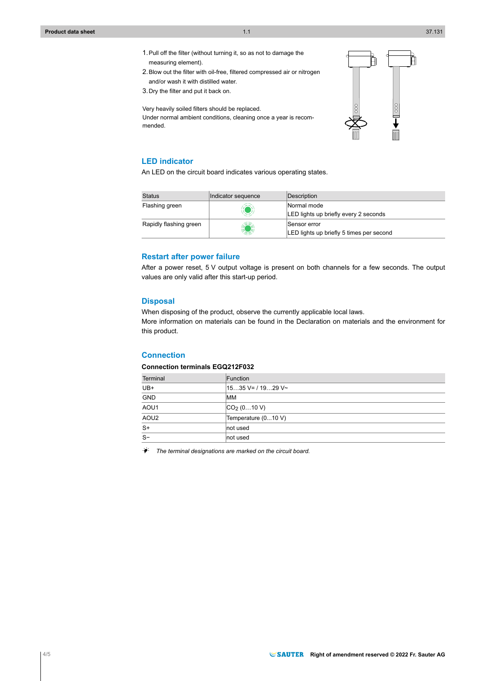- 1.Pull off the filter (without turning it, so as not to damage the measuring element).
- 2.Blow out the filter with oil-free, filtered compressed air or nitrogen and/or wash it with distilled water.
- 3.Dry the filter and put it back on.

Very heavily soiled filters should be replaced.

Under normal ambient conditions, cleaning once a year is recommended.



## **LED indicator**

An LED on the circuit board indicates various operating states.

| <b>Status</b>          | Indicator sequence | Description                                              |
|------------------------|--------------------|----------------------------------------------------------|
| Flashing green         |                    | Normal mode<br>LED lights up briefly every 2 seconds     |
| Rapidly flashing green | KO                 | Sensor error<br>LED lights up briefly 5 times per second |

## **Restart after power failure**

After a power reset, 5 V output voltage is present on both channels for a few seconds. The output values are only valid after this start-up period.

## **Disposal**

When disposing of the product, observe the currently applicable local laws. More information on materials can be found in the Declaration on materials and the environment for this product.

## **Connection**

#### **Connection terminals EGQ212F032**

| Terminal         | Function                |
|------------------|-------------------------|
| UB+              | $1535$ V= / 1929 V~     |
| <b>GND</b>       | <b>MM</b>               |
| AOU1             | CO <sub>2</sub> (010 V) |
| AOU <sub>2</sub> | Temperature (010 V)     |
| $S+$             | not used                |
| $S-$             | not used                |

 $\dot{P}$ <sup>2</sup> The terminal designations are marked on the circuit board.